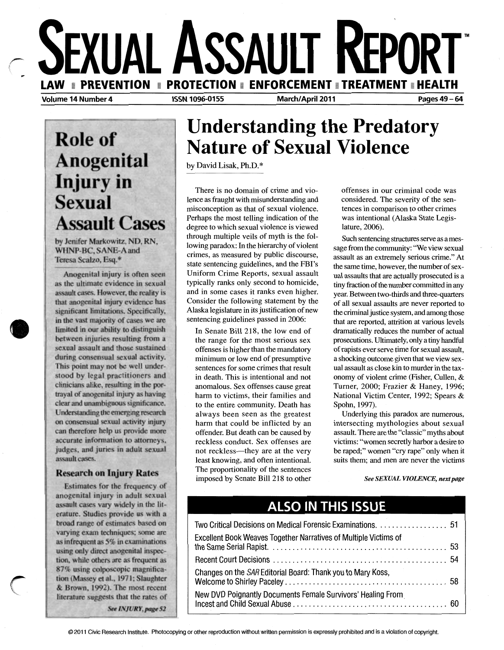

# **Role of Anogenital Injury** in **Sexual Assault Cases**

by Jenifer Markowitz, ND, RN, WHNP-BC, SANE-A and Teresa Scalzo, Esq.\*

Anogenital injury is often seen as the ultimate evidence in sexual assault cases. However, the reality is that anogenital injury evidence has significant limitations. Specifically, in the vast majority of cases we are limited in our ability to distinguish between injuries resulting from a sexual assault and those sustained during consensual sexual activity. This point may not be well understood by legal practitioners and clinicians alike, resulting in the portrayal of anogenital injury as having clear and unambiguous significance. Understanding the emerging research on consensual sexual activity injury can therefore help us provide more accurate information to attorneys, judges, and juries in adult sexual assault cases.

**•** 

 $\, \big($ 

#### **Research on Injury Rates**

Estimates for the frequency of anogenital injury in adult sexual assault cases vary widely in the literature. Studies provide us with a broad range of estimates based on varying exam techniques; some are as infrequent as 5% in examinations using only direct anogenital inspection, while others are as frequent as 87% using colposcopic magnification (Massey et al., 1971; Slaughter & Brown, 1992). The most recent literature suggests that the rates of See INJURY, page 52

## **Understanding the Predatory Nature of Sexual Violence**

by David Lisak, Ph.D.\*

There is no domain of crime and violence as fraught with misunderstanding and misconception as that of sexual violence. Perhaps the most telling indication of the degree to which sexual violence is viewed through multiple veils of myth is the following paradox: In the hierarchy of violent crimes, as measured by public discourse, state sentencing guidelines, and the FBI's Uniform Crime Reports, sexual assault typically ranks only second to homicide, and in some cases it ranks even higher. Consider the following statement by the Alaska legislature in its justification of new sentencing guidelines passed in 2006:

In Senate Bill 218, the low end of the range for the most serious sex offenses is higher than the mandatory minimum or low end of presumptive sentences for some crimes that result in death. This is intentional and not anomalous. Sex offenses cause great harm to victims, their families and to the entire community. Death has always been seen as the greatest harm that could be inflicted by an offender. But death can be caused by reckless conduct. Sex offenses are not reckless—they are at the very least knowing, and often intentional. The proportionality of the sentences imposed by Senate Bill 218 to other offenses in our criminal code was considered. The severity of the sentences in comparison to other crimes was intentional (Alaska State Legislature, 2006).

Such sentencing structures serve as amessage from the community: "We view sexual assault as an extremely serious crime." At the same time, however, the number of sexual assaults that are actually prosecuted is a tiny fraction of the number committed in any year. Between two-thirds and three-quarters of all sexual assaults are never reported to the criminal justice system, and among those that are reported, attrition at various levels dramatically reduces the number of actual prosecutions. Ultimately, only a tiny handful of rapists ever serve time for sexual assault, a shocking outcome given that we view sexual assault as close kin to murder in the taxonomy of violent crime (Fisher, Cullen, & Turner, 2000; Frazier & Haney, 1996; National Victim Center, 1992; Spears & Spohn, 1997).

Underlying this paradox are numerous, intersecting mythologies about sexual assault. There are the "classic" myths about victims: "women secretly harbor a desire to be raped;" women "cry rape" only when it suits them; and men are never the victims

*See SEXUAL VIOLENCE, next page* 

### **AlSO IN THIS ISSUE**

| Two Critical Decisions on Medical Forensic Examinations. 51      |  |
|------------------------------------------------------------------|--|
| Excellent Book Weaves Together Narratives of Multiple Victims of |  |
|                                                                  |  |
| Changes on the SAR Editorial Board: Thank you to Mary Koss,      |  |
| New DVD Poignantly Documents Female Survivors' Healing From      |  |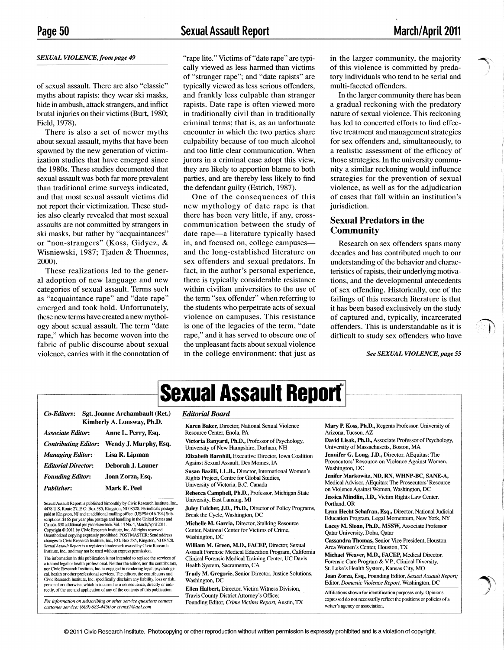#### *SEXUAL VIOLENCE, from page 49*

of sexual assault. There are also "classic" myths about rapists: they wear ski masks, hide in ambush, attack strangers, and inflict brutal injuries on their victims (Burt, 1980; Field, 1978).

There is also a set of newer myths about sexual assault, myths that have been spawned by the new generation of victimization studies that have emerged since the 1980s. These studies documented that sexual assault was both far more prevalent than traditional crime surveys indicated, and that most sexual assault victims did not report their victimization. These studies also clearly revealed that most sexual assaults are not committed by strangers in ski masks, but rather by "acquaintances" or "non-strangers" (Koss, Gidycz, & Wisniewski, 1987; Tjaden & Thoennes, 2000).

These realizations led to the general adoption of new language and new categories of sexual assault. Terms such as "acquaintance rape" and "date rape" emerged and took hold. Unfortunately, these new terms have created a new mythology about sexual assault. The term "date rape," which has become woven into the fabric of public discourse about sexual violence, carries with it the connotation of  $\rightarrow$ J

 $\langle \cdot, \cdot \rangle$ 

"rape lite." Victims of "date rape" are typically viewed as less harmed than victims of "stranger rape"; and "date rapists" are typically viewed as less serious offenders, and frankly less culpable than stranger rapists. Date rape is often viewed more in traditionally civil than in traditionally criminal terms; that is, as an unfortunate encounter in which the two parties share culpability because of too much alcohol and too little clear communication. When jurors in a criminal case adopt this view, they are likely to apportion blame to both parties, and are thereby less likely to find the defendant guilty (Estrich, 1987).

One of the consequences of this new mythology of date rape is that there has been very little, if any, crosscommunication between the study of date rape-a literature typically based in, and focused on, college campusesand the long-established literature on sex offenders and sexual predators. In fact, in the author's personal experience, there is typically considerable resistance within civilian universities to the use of the term "sex offender" when referring to the students who perpetrate acts of sexual violence on campuses. This resistance is one of the legacies of the term, "date rape," and it has served to obscure one of the unpleasant facts about sexual violence in the college environment: that just as in the larger community, the majority of this violence is committed by predatory individuals who tend to be serial and multi-faceted offenders.

In the larger community there has been a gradual reckoning with the predatory nature of sexual violence. This reckoning has led to concerted efforts to find effective treatment and management strategies for sex offenders and, simultaneously, to a realistic assessment of the efficacy of those strategies. In the university community a similar reckoning would influence strategies for the prevention of sexual violence, as well as for the adjudication of cases that fall within an institution's jurisdiction.

#### Sexual Predators in the **Community**

Research on sex offenders spans many decades and has contributed much to our understanding of the behavior and characteristics of rapists, their underlying motivations, and the developmental antecedents of sex offending. Historically, one of the failings of this research literature is that it has been based exclusively on the study of captured and, typically, incarcerated offenders. This is understandable as it is difficult to study sex offenders who have

*See SEXUAL VIOLENCE, page 55* 

|                                                       |                                                   | <b>Sexual Assault Report</b> ®                                                                          |                            |
|-------------------------------------------------------|---------------------------------------------------|---------------------------------------------------------------------------------------------------------|----------------------------|
| Sgt. Joanne Archambault (Ret.)<br>Co-Editors:         |                                                   | <b>Editorial Board</b>                                                                                  |                            |
| <b>Associate Editor:</b>                              | Kimberly A. Lonsway, Ph.D.<br>Anne L. Perry, Esq. | Karen Baker, Director, National Sexual Violence<br>Resource Center, Enola, PA                           | Mary P.<br>Arizona.        |
| <b>Contributing Editor:</b>                           | Wendy J. Murphy, Esq.                             | Victoria Banyard, Ph.D., Professor of Psychology,<br>University of New Hampshire, Durham, NH            | David L<br>Universi        |
| <b>Managing Editor:</b><br><b>Editorial Director:</b> | Lisa R. Lipman<br>Deborah J. Launer               | <b>Elizabeth Barnhill, Executive Director, Iowa Coalition</b><br>Against Sexual Assault, Des Moines, IA | <b>Jennifer</b><br>Prosecu |
| <b>Founding Editor:</b>                               | Joan Zorza, Esq.                                  | Susan Bazilli, L.L.B., Director, International Women's<br>Rights Project, Centre for Global Studies,    | Washing<br>Jenifer 1       |
| <b>Publisher:</b>                                     | Mark E. Peel                                      | University of Victoria, B.C. Canada<br>Rebecca Campbell, Ph.D., Professor, Michigan State               | Medical<br>on Viole        |

Sexual Assault Report is published bimonthly by Civic Research Institute, Inc., 4478 U.S. Route 27, P. O. Box 585, Kingston, NJ 08528. Periodicals postage paid at Kingston, NJ and at additional mailing office. (USPS#016-794) Subscriptions: \$165 per year plus postage and handling in the United States and<br>Canada. \$30 additional per year elsewhere. Vol. 14 No. 4, March/April 2011. Copyright © 2011 by Civic Research Institute, Inc. All rights reserved. Unauthorized copying expressly prohibited. POSTMASTER: Send address changes to Civic Research Institute, Inc., P.O. Box 585, Kingston, NJ 08528. *Sexual Assault Report* is a registered trademark owned by Civic Research Institute, Inc., and may not be used without express permission.

The information in this publication is not intended to replace the services of a trained legal or health professional. Neither the editor, nor the contributors, nor Civic Research Institute, Inc. is engaged in rendering legal, psychological, health or other professional services. The editors, the contributors and Civic Research Institute, Inc. specifically disclaim any liability, loss or risk, personal or otherwise, which is incurred as a consequence, directly or indi-rectly, of the use and application of any of the contents of this publication.

*For information on subscribing or other service questions contact customer service: (609) 683-4450 or civres2@aoLcom* 

#### *Editorial Board*

Rebecca Campbell, Ph.D., Professor, Michigan State University, East Lansing, MI

Juley Fulcher, J.D., Ph.D., Director of Policy Programs, Break the Cycle, Washington, DC

Michelle M. Garcia, Director, Stalking Resource Center, National Center for Victims of Crime, Washington, DC

William M. Green, M.D., FACEP, Director, Sexual Assault Forensic Medical Education Program, California Clinical Forensic Medical Training Center, UC Davis Health System, Sacramento, CA

Trudy M. Gregorie, Senior Director, Justice Solutions, Washington, DC

Ellen Halbert, Director, Victim Witness Division, Travis County District Attorney's Office; Founding Editor, *Crime Victims Report*, Austin, TX Mary P. Koss, Ph.D., Regents Professor. University of Arizona, Tucson, AZ

David Lisak, Ph.D., Associate Professor of Psychology, University of Massachusetts, Boston, MA

Jennifer G. Long, J.D., Director, AEquitas: The Prosecutors' Resource on Violence Against Women, Washington, DC

Jenifer Markowitz, ND, RN, WHNP-BC, SANE-A, Medical Advisor, AEquitas: The Prosecutors' Resource on Violence Against Women, Washington, DC

Jessica Mindlin, J.D., Victim Rights Law Center, Portland, OR

Lynn Hecht Schafran, Esq., Director, National Judicial Education Program, Legal Momentum, New York, NY Lacey M. Sloan, Ph.D., MSSW, Associate Professor Qatar University, Doha, Qatar

Cassandra Thomas, Senior Vice President, Houston Area Women's Center, Houston, TX

Michael Weaver, M.D., FACEP, Medical Director, Forensic Care Program & V.P., Clinical Diversity, St. Luke's Health System, Kansas City, MO

Joan Zorza, &q., Founding Editor, *Sexual Assault Report;*  Editor, *Domestic Violence Report*, Washington, DC

Affiliations shown for identification purposes only. Opinions expressed do not necessarily reflect the positions or policies of a writer's agency or association.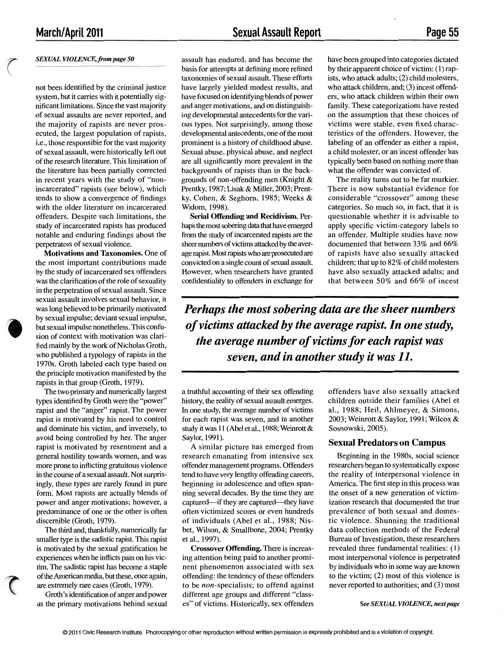*r*   $\overline{\phantom{0}}$ 

#### *SEXUAL VIOLENCE, from page 50*

not been identified by the criminal justice system, but it carries with it potentially significant limitations. Since the vast majority of sexual assaults are never reported, and the majority of rapists are never prosecuted, the largest population of rapists, i.e., those responsible for the vast majority of sexual assault, were historically left out of the research literature. This limitation of the literature has been partially corrected in recent years with the study of "nonincarcerated" rapists (see below), which tends to show a convergence of findings with the older literature on incarcerated offenders. Despite such limitations, the study of incarcerated rapists has produced notable and enduring findings about the perpetrators of sexual violence.

**Motivations and Taxonomies.** One of the most important contributions made by the study of incarcerated sex offenders was the clarification of the role of sexuality in the perpetration of sexual assault. Since sexual assault involves sexual behavior, it was long believed to be primarily motivated by sexual impulse; deviant sexual impulse, but sexual impulse nonetheless. This confusion of context with motivation was clarified mainly by the work of Nicholas Groth, who published a typology of rapists in the 1970s. Groth labeled each type based on the principle motivation manifested by the rapists in that group (Groth, 1979).

The two primary and numerically largest types identified by Groth were the "power" rapist and the "anger" rapist. The power rapist is motivated by his need to control and dominate his victim, and inversely, to avoid being controlled by her. The anger rapist is motivated by resentment and a general hostility towards women, and was more prone to inflicting gratuitous violence in the course of a sexual assault. Not surprisingly, these types are rarely found in pure form. Most rapists are actually blends of power and anger motivations; however, a predominance of one or the other is often discernible (Groth, 1979).

The third and, thankfully, numerically far smaller type is the sadistic rapist. This rapist is motivated by the sexual gratification he experiences when he inflicts pain on his victim. The sadistic rapist has become a staple of the American media, but these, once again, are extremely rare cases (Groth, 1979).

Groth's identification of anger and power as the primary motivations behind sexual

assault has endured, and has become the basis for attempts at defining more refined taxonomies of sexual assault. These efforts have largely yielded modest results, and have focused on identifying blends of power and anger motivations, and on distinguishing developmental antecedents for the various types. Not surprisingly, among those developmental antecedents, one of the most prominent is a history of childhood abuse. Sexual abuse, physical abuse, and neglect are all significantly more prevalent in the backgrounds of rapists than in the backgrounds of non-offending men (Knight & Prentky, 1987; Lisak & Miller, 2003; Prentky, Cohen, & Seghorn, 1985; Weeks & Widom, 1998).

**Serial Offending and Recidivism.** Perhaps the most sobering data that have emerged from the study of incarcerated rapists are the sheer numbers of victims attacked by the average rapist. Most rapists who are prosecuted are convicted on a single count of sexual assault. However, when researchers have granted confidentiality to offenders in exchange for have been grouped into categories dictated by their apparent choice of victim: ( 1) rapists, who attack adults; (2) child molesters, who attack children, and; (3) incest offenders, who attack children within their own family. These categorizations have rested on the assumption that these choices of victims were stable, even fixed characteristics of the offenders. However, the labeling of an offender as either a rapist, a child molester, or an incest offender has typically been based on nothing more than what the offender was convicted of.

The reality turns out to be far murkier. There is now substantial evidence for considerable "crossover" among these categories. So much so, in fact, that it is questionable whether it is advisable to apply specific victim-category labels to an offender. Multiple studies have now documented that between 33% and 66% of rapists have also sexually attacked children; that up to 82% of child molesters have also sexually attacked adults; and that between 50% and 66% of incest

*Perhaps the most sobering data are the sheer numbers of victims attacked by the average rapist. In one study, the average number of victims for each rapist was seven, and in another study it was 11.* 

a truthful accounting of their sex offending history, the reality of sexual assault emerges. In one study, the average number of victims for each rapist was seven, and in another study it was 11 (Abel et al., 1988; Weinrott & Saylor, 1991).

A similar picture has emerged from research emanating from intensive sex offender management programs. Offenders tend to have very lengthy offending careers, beginning in adolescence and often spanning several decades. By the time they are captured-if they are captured-they have often victimized scores or even hundreds of individuals (Abel et al., 1988; Nisbet, Wilson, & Smallbone, 2004; Prentky et al., 1997).

**Crossover Offending.** There is increasing attention being paid to another prominent phenomenon associated with sex offending: the tendency of these offenders to be non-specialists; to offend against different age groups and different "classes" of victims. Historically, sex offenders offenders have also sexually attacked children outside their families (Abel et al., 1988; Heil, Ahlmeyer, & Simons, 2003; Weinrott& Saylor, 1991; Wilcox & Sosnowski, 2005).

#### **Sexual Predators on Campus**

Beginning in the 1980s, social science researchers began to systematically expose the reality of interpersonal violence in America. The first step in this process was the onset of a new generation of victimization research that documented the true prevalence of both sexual and domestic violence. Shunning the traditional data collection methods of the Federal Bureau of Investigation, these researchers revealed three fundamental realities: ( 1) most interpersonal violence is perpetrated by individuals who in some way are known to the victim; (2) most of this violence is never reported to authorities; and (3) most

*See SEXUAL VIOLENCE, next page*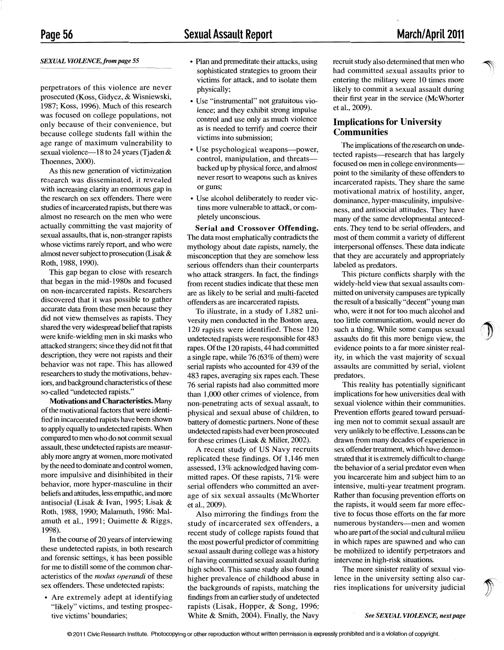### **Sexual Assault Report**

#### *SEXUAL VIOLENCE, from page* 55

perpetrators of this violence are never prosecuted (Koss, Gidycz, & Wisniewski, 1987; Koss, 1996). Much of this research was focused on college populations, not only because of their convenience, but because college students fall within the age range of maximum vulnerability to sexual violence—18 to 24 years (Tjaden & Thoennes, 2000).

As this new generation of victimization research was disseminated, it revealed with increasing clarity an enormous gap in the research on sex offenders. There were studies of incarcerated rapists, but there was almost no research on the men who were actually committing the vast majority of sexual assaults, that is, non-stranger rapists whose victims rarely report, and who were almost never subject to prosecution (Lisak & Roth, 1988, 1990).

This gap began to close with research that began in the mid-1980s and focused on non-incarcerated rapists. Researchers discovered that it was possible to gather accurate data from these men because they did not view themselves as rapists. They shared the very widespread belief that rapists were knife-wielding men in ski masks who attacked strangers; since they did not fit that description, they were not rapists and their behavior was not rape. This has allowed researchers to study the motivations, behaviors, and background characteristics of these so-called "undetected rapists."

**Motivations and Characteristics.** Many of the motivational factors that were identified in incarcerated rapists have been shown to apply equally to undetected rapists. When compared to men who do not commit sexual assault, these undetected rapists are measurably more angry at women, more motivated by the need to dominate and control women, more impulsive and disinhibited in their behavior, more hyper-masculine in their beliefs and attitudes, less empathic, and more antisocial (Lisak & Ivan, 1995; Lisak & Roth, 1988, 1990; Malamuth, 1986: Malamuth et al., 1991; Ouimette & Riggs, 1998).

In the course of 20 years of interviewing these undetected rapists, in both research and forensic settings, it has been possible for me to distill some of the common characteristics of the *modus operandi* of these sex offenders. These undetected rapists:

• Are extremely adept at identifying "likely" victims, and testing prospective victims' boundaries;

- Plan and premeditate their attacks, using sophisticated strategies to groom their victims for attack, and to isolate them physically;
- Use "instrumental" not gratuitous violence; and they exhibit strong impulse control and use only as much violence as is needed to terrify and coerce their victims into submission;
- Use psychological weapons—power, control, manipulation, and threatsbacked up by physical force, and almost never resort to weapons such as knives or guns;
- Use alcohol deliberately to render victims more vulnerable to attack, or completely unconscious.

**Serial and Crossover Offending.**  The data most emphatically contradicts the mythology about date rapists, namely, the misconception that they are somehow less serious offenders than their counterparts who attack strangers. In fact, the findings from recent studies indicate that these men are as likely to be serial and multi-faceted offenders as are incarcerated rapists.

To illustrate, in a study of 1,882 university men conducted in the Boston area, 120 rapists were identified. These 120 undetected rapists were responsible for 483 rapes. Of the 120 rapists, 44 had committed a single rape, while 76 (63% of them) were serial rapists who accounted for 439 of the 483 rapes, averaging six rapes each. These 76 serial rapists had also committed more than 1,000 other crimes of violence, from non-penetrating acts of sexual assault, to physical and sexual abuse of children, to battery of domestic partners. None of these undetected rapists had ever been prosecuted for these crimes (Lisak & Miller, 2002).

A recent study of US Navy recruits replicated these findings. Of 1,146 men assessed, 13% acknowledged having committed rapes. Of these rapists, 71% were serial offenders who committed an average of six sexual assaults (Me Whorter et al., 2009).

Also mirroring the findings from the study of incarcerated sex offenders, a recent study of college rapists found that the most powerful predictor of committing sexual assault during college was a history of having committed sexual assault during high school. This same study also found a higher prevalence of childhood abuse in the backgrounds of rapists, matching the findings from an earlier study of undetected rapists (Lisak, Hopper, & Song, 1996; White & Smith, 2004). Finally, the Navy

recruit study also determined that men who had committed sexual assaults prior to entering the military were 10 times more likely to commit a sexual assault during their first year in the service (McWhorter et al., 2009).

#### **Implications for University Communities**

The implications of the research on undetected rapists—research that has largely focused on men in college environmentspoint to the similarity of these offenders to incarcerated rapists. They share the same motivational matrix of hostility, anger, dominance, hyper-masculinity, impulsiveness, and antisocial attitudes. They have many of the same developmental antecedents. They tend to be serial offenders, and most of them commit a variety of different interpersonal offenses. These data indicate that they are accurately and appropriately labeled as predators.

This picture conflicts sharply with the widely-held view that sexual assaults committed on university campuses are typically the result of a basically "decent" young man who, were it not for too much alcohol and too little communication, would never do such a thing. While some campus sexual assaults do fit this more benign view, the evidence points to a far more sinister reality, in which the vast majority of sexual assaults are committed by serial, violent predators.

This reality has potentially significant implications for how universities deal with sexual violence within their communities. Prevention efforts geared toward persuading men not to commit sexual assault are very unlikely to be effective. Lessons can be drawn from many decades of experience in sex offender treatment, which have demonstrated that it is extremely difficult to change the behavior of a serial predator even when you incarcerate him and subject him to an intensive, multi-year treatment program. Rather than focusing prevention efforts on the rapists, it would seem far more effective to focus those efforts on the far more numerous bystanders-men and women who are part of the social and cultural milieu in which rapes are spawned and who can be mobilized to identify perpetrators and intervene in high-risk situations.

The more sinister reality of sexual violence in the university setting also carries implications for university judicial

*See SEXUAL VIOLENCE, next page*